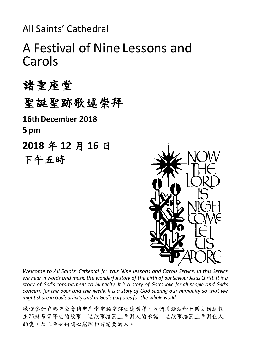All Saints' Cathedral

# A Festival of Nine Lessons and Carols

諸聖座堂 聖誕聖跡歌述崇拜 **16thDecember 2018 5 pm 2018** 年 **12** 月 **16** 日 下午五時



*Welcome to All Saints' Cathedral for this Nine lessons and Carols Service. In this Service we hear in words and music the wonderful story of the birth of our Saviour Jesus Christ. It is a story of God's commitment to humanity. It is a story of God's love for all people and God's concern for the poor and the needy. It is a story of God sharing our humanity so that we might share in God's divinity and in God's purposes for the whole world.*

歡迎參加香港聖公會諸聖座堂聖誕聖跡歌述崇拜。我們用話語和音樂去講述救 主耶穌基督降生的故事。這故事描寫上帝對人的承諾。這故事描寫上帝對世人 的愛,及上帝如何關心窮困和有需要的人。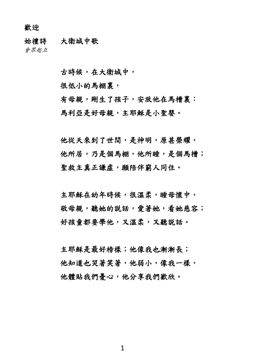歡迎

始禮詩 大衛城中歌

會眾起立

古時候,在大衛城中,

很低小的馬棚裏,

有母親,剛生了孩子,安放他在馬槽裏: 馬利亞是好母親,主耶穌是小聖嬰。

他從天來到了世間,是神明,原甚榮耀, 他所居,乃是個馬棚,他所睡,是個馬槽; 聖救主真正謙虛,願陪伴窮人同住。

主耶穌在幼年時候,很溫柔,睡母懷中, 敬母親,聽她的說話,愛著她,看她慈容; 好孩童都要學他,又溫柔,又聽說話。

主耶穌是最好榜樣;他像我也漸漸長; 他知道也哭著笑著,他弱小,像我一樣, 他體貼我們憂心,他分享我們歡欣。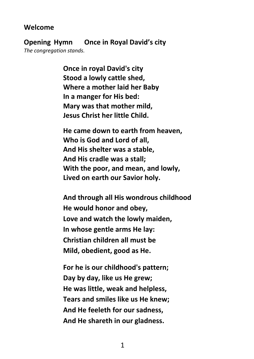## **Welcome**

**Opening Hymn Once in Royal David's city** *The congregation stands.* 

> **Once in royal David's city Stood a lowly cattle shed, Where a mother laid her Baby In a manger for His bed: Mary was that mother mild, Jesus Christ her little Child.**

**He came down to earth from heaven, Who is God and Lord of all, And His shelter was a stable, And His cradle was a stall; With the poor, and mean, and lowly, Lived on earth our Savior holy.**

**And through all His wondrous childhood He would honor and obey, Love and watch the lowly maiden, In whose gentle arms He lay: Christian children all must be Mild, obedient, good as He.**

**For he is our childhood's pattern; Day by day, like us He grew; He was little, weak and helpless, Tears and smiles like us He knew; And He feeleth for our sadness, And He shareth in our gladness.**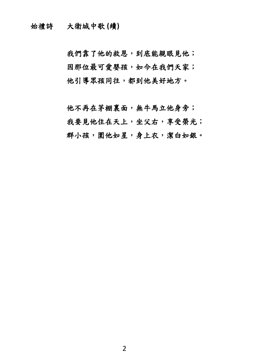始禮詩 大衛城中歌 **(**續**)**

我們靠了他的救恩,到底能親眼見他; 因那位最可愛嬰孩,如今在我們天家; 他引導眾孩同往,都到他美好地方。

他不再在茅棚裏面,無牛馬立他身旁; 我要見他住在天上,坐父右,享受榮光; 群小孩, 圍他如星, 身上衣, 潔白如銀。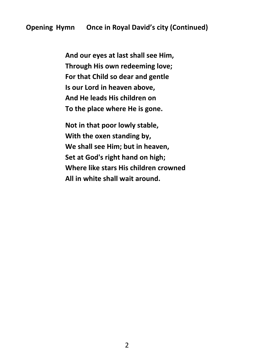**And our eyes at last shall see Him, Through His own redeeming love; For that Child so dear and gentle Is our Lord in heaven above, And He leads His children on To the place where He is gone.**

**Not in that poor lowly stable, With the oxen standing by, We shall see Him; but in heaven, Set at God's right hand on high; Where like stars His children crowned All in white shall wait around.**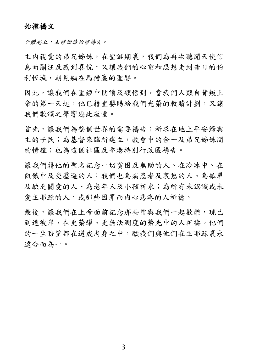## 始禮禱文

全體起立,主禮誦讀始禮禱文。

主内親愛的弟兄姊妹,在聖誕期裏,我們為再次聽聞天使信 息而關注及感到喜悅,又讓我們的心靈和思想走到昔日的伯 利恆城,朝見躺在馬槽裏的聖嬰。

因此,讓我們在聖經中閱讀及領悟到,當我們人類自背叛上 帝的第一天起,他已藉聖嬰賜給我們光榮的救贖計劃,又讓 我們歌頌之聲響遍此座堂。

首先,讓我們為整個世界的需要禱告;祈求在地上平安歸與 主的子民;為基督來臨所建立,教會中的合一及弟兄姊妹間 的情誼;也為這個社區及香港特別行政區禱告。

讓我們藉他的聖名記念一切貧困及無助的人、在冷冰中、在 飢餓中及受壓逼的人;我們也為病患者及哀愁的人、為孤單 及缺乏關愛的人、為老年人及小孩祈求;為所有未認識或未 愛主耶穌的人,或那些因罪而内心悲疼的人祈禱。

最後,讓我們在上帝面前記念那些曾與我們一起歡樂,現已 到達彼岸,在更榮耀、更無法測度的榮光中的人祈禱。他們 的一生盼望都在道成肉身之中,願我們與他們在主耶穌裏永 遠合而為一。

3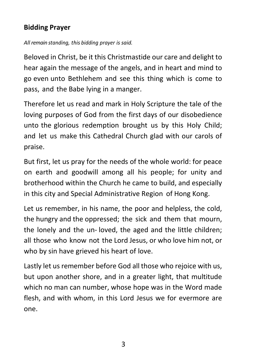# **Bidding Prayer**

*All remain standing, this bidding prayer is said.*

Beloved in Christ, be it this Christmastide our care and delight to hear again the message of the angels, and in heart and mind to go even unto Bethlehem and see this thing which is come to pass, and the Babe lying in a manger.

Therefore let us read and mark in Holy Scripture the tale of the loving purposes of God from the first days of our disobedience unto the glorious redemption brought us by this Holy Child; and let us make this Cathedral Church glad with our carols of praise.

But first, let us pray for the needs of the whole world: for peace on earth and goodwill among all his people; for unity and brotherhood within the Church he came to build, and especially in this city and Special Administrative Region of Hong Kong.

Let us remember, in his name, the poor and helpless, the cold, the hungry and the oppressed; the sick and them that mourn, the lonely and the un- loved, the aged and the little children; all those who know not the Lord Jesus, or who love him not, or who by sin have grieved his heart of love.

Lastly let us remember before God all those who rejoice with us, but upon another shore, and in a greater light, that multitude which no man can number, whose hope was in the Word made flesh, and with whom, in this Lord Jesus we for evermore are one.

3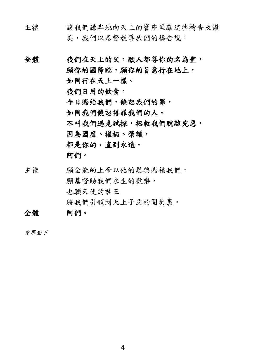- 主禮 讓我們謙卑地向天上的寶座呈獻這些禱告及讚 美,我們以基督教導我們的禱告說:
- 全體 我們在天上的父,願人都尊你的名為聖, 願你的國降臨,願你的旨意行在地上, 如同行在天上一樣。 我們日用的飲食, 今日賜給我們,饒恕我們的罪, 如同我們饒恕得罪我們的人。 不叫我們遇見試探,拯救我們脫離兇惡, 因為國度、權柄、榮耀, 都是你的,直到永遠。 阿們。
- 主禮 願全能的上帝以他的恩典賜福我們, 願基督賜我們永生的歡樂, 也願天使的君王 將我們引領到天上子民的團契裏。 全體 阿們。

會眾坐下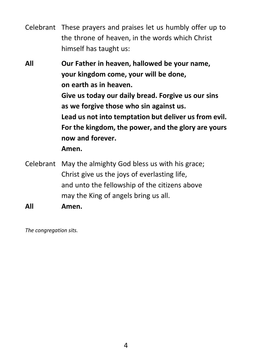Celebrant These prayers and praises let us humbly offer up to the throne of heaven, in the words which Christ himself has taught us:

**All Our Father in heaven, hallowed be your name, your kingdom come, your will be done, on earth as in heaven. Give us today our daily bread. Forgive us our sins as we forgive those who sin against us. Lead us not into temptation but deliver us from evil. For the kingdom, the power, and the glory are yours now and forever. Amen.**

Celebrant May the almighty God bless us with his grace; Christ give us the joys of everlasting life, and unto the fellowship of the citizens above may the King of angels bring us all.

**All Amen.**

*The congregation sits.*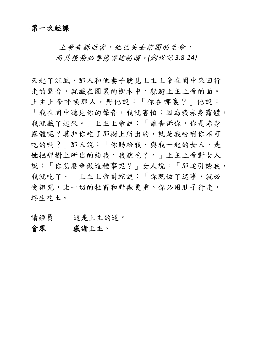上帝告訴亞當,他已失去樂園的生命, 而其後裔必要傷害蛇的頭。*(*創世記 *3.8-14)*

天起了涼風,那人和他妻子聽見上主上帝在園中來回行 走的聲音,就藏在園裏的樹木中,躲避上主上帝的面。 上主上帝呼喚那人,對他說:「你在哪裏?」他說: 「我在園中聽見你的聲音,我就害怕;因為我赤身露體, 我就藏了起來。」上主上帝說:「誰告訴你,你是赤身 露體呢?莫非你吃了那樹上所出的,就是我吩咐你不可 吃的嗎?」那人說:「你賜給我、與我一起的女人,是 她把那樹上所出的給我,我就吃了。」上主上帝對女人 說:「你怎麼會做這種事呢?」女人說:「那蛇引誘我, 我就吃了。」上主上帝對蛇說:「你既做了這事,就必 受詛咒,比一切的牲畜和野獸更重。你必用肚子行走, 終生吃土。

- 讀經員 這是上主的道。
- 會眾 感謝上主。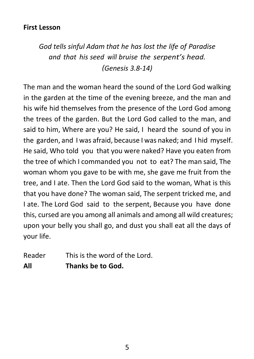# **First Lesson**

*God tells sinful Adam that he has lost the life of Paradise and that his seed will bruise the serpent's head. (Genesis 3.8-14)*

The man and the woman heard the sound of the Lord God walking in the garden at the time of the evening breeze, and the man and his wife hid themselves from the presence of the Lord God among the trees of the garden. But the Lord God called to the man, and said to him, Where are you? He said, I heard the sound of you in the garden, and I was afraid, because I was naked; and I hid myself. He said, Who told you that you were naked? Have you eaten from the tree of which I commanded you not to eat? The man said, The woman whom you gave to be with me, she gave me fruit from the tree, and I ate. Then the Lord God said to the woman, What is this that you have done? The woman said, The serpent tricked me, and I ate. The Lord God said to the serpent, Because you have done this, cursed are you among all animals and among all wild creatures; upon your belly you shall go, and dust you shall eat all the days of your life.

Reader This is the word of the Lord. **All Thanks be to God.**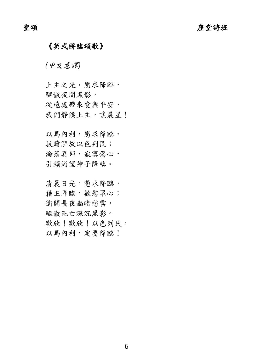## 《英式將臨頌歌》

*(*中文意譯*)*

上主之光,懇求降臨, 驅散夜間黑影, 從遠處帶來愛與平安, 我們靜候上主,噢晨星!

以馬內利,懇求降臨, 救贖解放以色列民; 淪落異邦,寂寞傷心, 引頸渴望神子降臨。

清晨日光,懇求降臨, 藉主降臨,歡慰眾心; 衝開長夜幽暗愁雲, 驅散死亡深沉黑影。 歡欣!歡欣!以色列民, 以馬內利,定要降臨!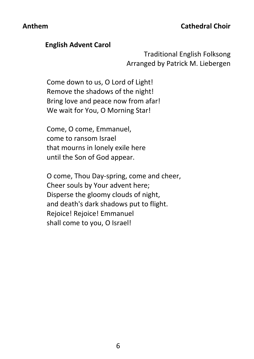## **English Advent Carol**

Traditional English Folksong Arranged by Patrick M. Liebergen

Come down to us, O Lord of Light! Remove the shadows of the night! Bring love and peace now from afar! We wait for You, O Morning Star!

Come, O come, Emmanuel, come to ransom Israel that mourns in lonely exile here until the Son of God appear.

O come, Thou Day-spring, come and cheer, Cheer souls by Your advent here; Disperse the gloomy clouds of night, and death's dark shadows put to flight. Rejoice! Rejoice! Emmanuel shall come to you, O Israel!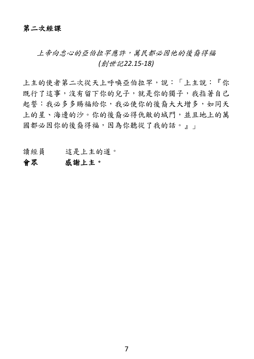## 第二次經課

上帝向忠心的亞伯拉罕應許,萬民都必因他的後裔得福 *(*創世記*22.15-18)*

上主的使者第二次從天上呼喚亞伯拉罕,說:「上主說:『你 既行了這事,沒有留下你的兒子,就是你的獨子,我指著自己 起誓:我必多多賜福給你,我必使你的後裔大大增多,如同天 上的星、海邊的沙。你的後裔必得仇敵的城門,並且地上的萬 國都必因你的後裔得福,因為你聽從了我的話。』」

讀經員 這是上主的道。

## 會眾 感謝上主。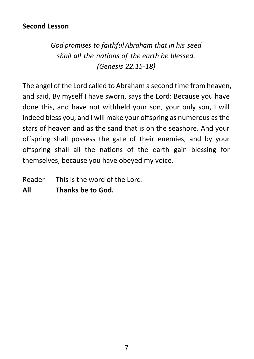# **Second Lesson**

*God promises to faithful Abraham that in his seed shall all the nations of the earth be blessed. (Genesis 22.15-18)*

The angel of the Lord called to Abraham a second time from heaven, and said, By myself I have sworn, says the Lord: Because you have done this, and have not withheld your son, your only son, I will indeed bless you, and I will make your offspring as numerous as the stars of heaven and as the sand that is on the seashore. And your offspring shall possess the gate of their enemies, and by your offspring shall all the nations of the earth gain blessing for themselves, because you have obeyed my voice.

Reader This is the word of the Lord.

**All Thanks be to God.**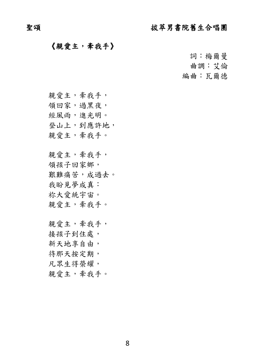# 聖頌 拔萃男書院舊生合唱團

## 《親愛主,牽我手》

詞:梅爾曼

曲調:艾倫

編曲:瓦爾德

親愛主,牽我手,

領回家,過黑夜,

經風雨,進光明。

登山上,到應許地,

親愛主,牽我手。

親愛主,牽我手, 領孩子回家鄉, 艱難痛苦, 成過去。 我盼見夢成真: 祢大愛統宇宙。 親愛主,牽我手。

親愛主,牽我手, 接孩子到住處, 新天地享自由, 待那天按定期, 凡眾生得榮耀, 親愛主,牽我手。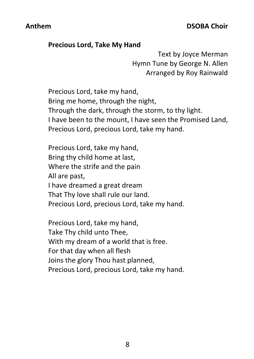## **Precious Lord, Take My Hand**

Text by Joyce Merman Hymn Tune by George N. Allen Arranged by Roy Rainwald

Precious Lord, take my hand, Bring me home, through the night, Through the dark, through the storm, to thy light. I have been to the mount, I have seen the Promised Land, Precious Lord, precious Lord, take my hand.

Precious Lord, take my hand, Bring thy child home at last, Where the strife and the pain All are past, I have dreamed a great dream That Thy love shall rule our land. Precious Lord, precious Lord, take my hand.

Precious Lord, take my hand, Take Thy child unto Thee, With my dream of a world that is free. For that day when all flesh Joins the glory Thou hast planned, Precious Lord, precious Lord, take my hand.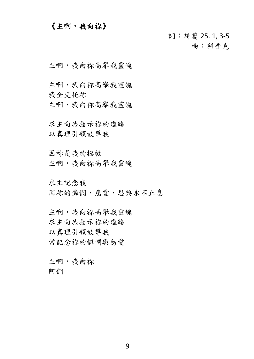## 《主啊,我向祢》

詞:詩篇 25. 1, 3-5 曲:科普克

主啊,我向祢高舉我靈魄

主啊,我向祢高舉我靈魄 我全交托祢 主啊,我向祢高舉我靈魄

求主向我指示祢的道路 以真理引領教導我

因祢是我的拯救 主啊,我向祢高舉我靈魄

求主記念我 因祢的憐憫,慈愛,恩典永不止息

主啊,我向祢高舉我靈魄 求主向我指示祢的道路 以真理引領教導我 當記念祢的憐憫與慈愛

主啊,我向祢 阿們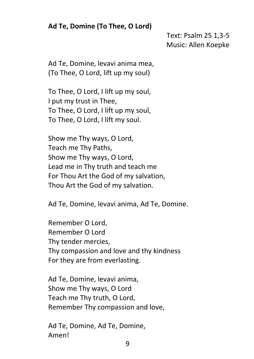# **Ad Te, Domine (To Thee, O Lord)**

Text: Psalm 25 1,3-5 Music: Allen Koepke

Ad Te, Domine, levavi anima mea, (To Thee, O Lord, lift up my soul)

To Thee, O Lord, I lift up my soul, I put my trust in Thee, To Thee, O Lord, I lift up my soul, To Thee, O Lord, I lift my soul.

Show me Thy ways, O Lord, Teach me Thy Paths, Show me Thy ways, O Lord, Lead me in Thy truth and teach me For Thou Art the God of my salvation, Thou Art the God of my salvation.

Ad Te, Domine, levavi anima, Ad Te, Domine.

Remember O Lord, Remember O Lord Thy tender mercies, Thy compassion and love and thy kindness For they are from everlasting.

Ad Te, Domine, levavi anima, Show me Thy ways, O Lord Teach me Thy truth, O Lord, Remember Thy compassion and love,

Ad Te, Domine, Ad Te, Domine, Amen!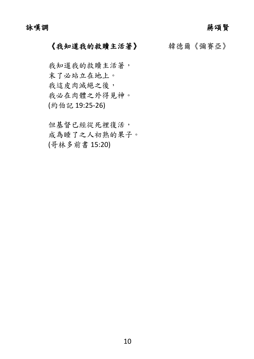詠嘆調 蔣頌賢

# 《我知道我的救贖主活著》 韓德爾《彌賽亞》

我知道我的救贖主活著, 末了必站立在地上。 我這皮肉滅絕之後, 我必在肉體之外得見神。 (約伯記 19:25-26)

但基督已經從死裡復活, 成為睡了之人初熟的果子。 (哥林多前書 15:20)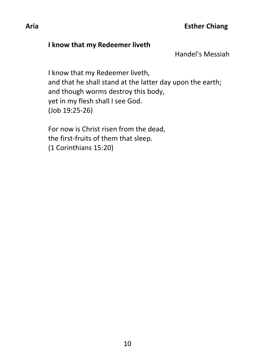## **I know that my Redeemer liveth**

Handel's Messiah

I know that my Redeemer liveth, and that he shall stand at the latter day upon the earth; and though worms destroy this body, yet in my flesh shall I see God. (Job 19:25-26)

For now is Christ risen from the dead, the first-fruits of them that sleep. (1 Corinthians 15:20)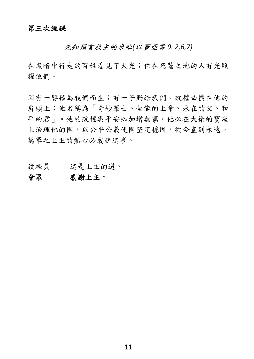先知預言救主的來臨*(*以賽亞書 *9. 2,6,7)*

在黑暗中行走的百姓看見了大光;住在死蔭之地的人有光照 耀他們。

因有一嬰孩為我們而生;有一子賜給我們。政權必擔在他的 肩頭上;他名稱為「奇妙策士、全能的上帝、永在的父、和 平的君」。他的政權與平安必加增無窮。他必在大衛的寶座 上治理他的國,以公平公義使國堅定穩固,從今直到永遠。 萬軍之上主的熱心必成就這事。

讀經員 這是上主的道。

### 會眾 感謝上主。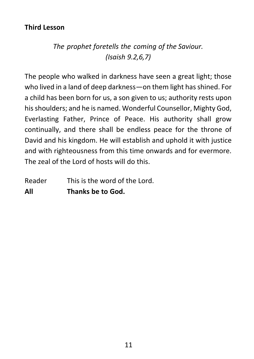# **Third Lesson**

*The prophet foretells the coming of the Saviour. (Isaish 9.2,6,7)*

The people who walked in darkness have seen a great light; those who lived in a land of deep darkness—on them light has shined. For a child has been born for us, a son given to us; authority rests upon his shoulders; and he is named. Wonderful Counsellor, Mighty God, Everlasting Father, Prince of Peace. His authority shall grow continually, and there shall be endless peace for the throne of David and his kingdom. He will establish and uphold it with justice and with righteousness from this time onwards and for evermore. The zeal of the Lord of hosts will do this.

Reader This is the word of the Lord. **All Thanks be to God.**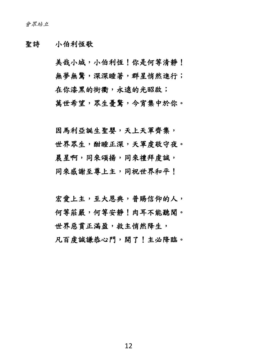## 聖詩 小伯利恆歌

美哉小城,小伯利恆!你是何等清静! 無夢無驚,深深睡著,群星悄然進行; 在你漆黑的街衢,永遠的光昭啟; 萬世希望,眾生憂驚,今宵集中於你。

因馬利亞誕生聖嬰,天上天軍齊集, 世界眾生,酣睡正深,天軍虔敬守夜。 晨星啊,同來頌揚,同來禮拜虔誠, 同來感謝至尊上主,同祝世界和平!

宏愛上主,至大恩典,普賜信仰的人, 何等莊嚴,何等安靜!肉耳不能聽聞。 世界惡貫正滿盈,救主悄然降生, 凡百虔誠謙恭心門,開了!主必降臨。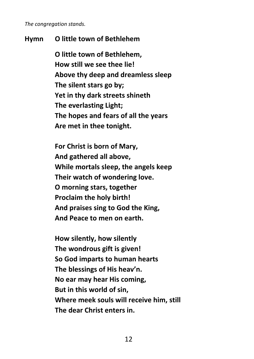*The congregation stands.*

## **Hymn O little town of Bethlehem**

**O little town of Bethlehem, How still we see thee lie! Above thy deep and dreamless sleep The silent stars go by; Yet in thy dark streets shineth The everlasting Light; The hopes and fears of all the years Are met in thee tonight.**

**For Christ is born of Mary, And gathered all above, While mortals sleep, the angels keep Their watch of wondering love. O morning stars, together Proclaim the holy birth! And praises sing to God the King, And Peace to men on earth.**

**How silently, how silently The wondrous gift is given! So God imparts to human hearts The blessings of His heav'n. No ear may hear His coming, But in this world of sin, Where meek souls will receive him, still The dear Christ enters in.**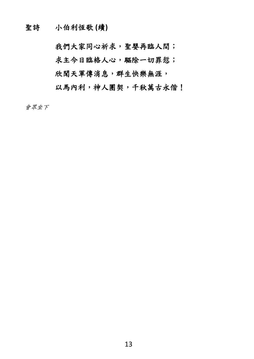聖詩 小伯利恆歌 **(**續**)**

我們大家同心祈求,聖嬰再臨人間; 求主今日臨格人心,驅除一切罪愆; 欣聞天軍傳消息,群生快樂無涯, 以馬內利,神人團契,千秋萬古永偕!

會眾坐下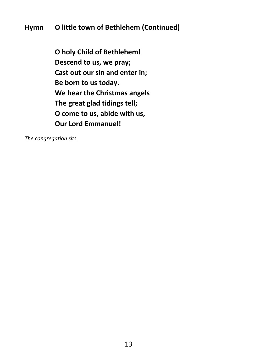# **Hymn O little town of Bethlehem (Continued)**

**O holy Child of Bethlehem! Descend to us, we pray; Cast out our sin and enter in; Be born to us today. We hear the Christmas angels The great glad tidings tell; O come to us, abide with us, Our Lord Emmanuel!**

*The congregation sits.*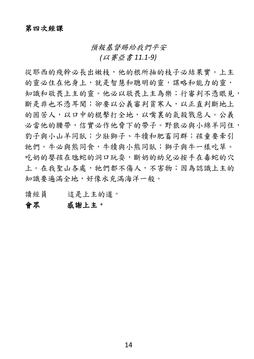預報基督賜給我們平安

*(*以賽亞書 *11.1-9)*

從耶西的殘幹必長出嫩枝,他的根所抽的枝子必結果實。上主 的靈必住在他身上,就是智慧和聰明的靈,謀略和能力的靈, 知識和敬畏上主的靈。他必以敬畏上主為樂;行審判不憑眼見, 斷是非也不憑耳聞;卻要以公義審判貧寒人,以正直判斷地上 的困苦人,以口中的棍擊打全地,以嘴裏的氣殺戮惡人。公義 必當他的腰帶,信實必作他脅下的帶子。野狼必與小綿羊同住, 豹子與小山羊同臥;少壯獅子、牛犢和肥畜同群;孩童要牽引 牠們。牛必與熊同食,牛犢與小熊同臥;獅子與牛一樣吃草。 吃奶的嬰孩在虺蛇的洞口玩耍,斷奶的幼兒必按手在毒蛇的穴 上。在我聖山各處,牠們都不傷人,不害物;因為認識上主的 知識要遍滿全地,好像水充滿海洋一般。

讀經員 這是上主的道。

## 會眾 感謝上主。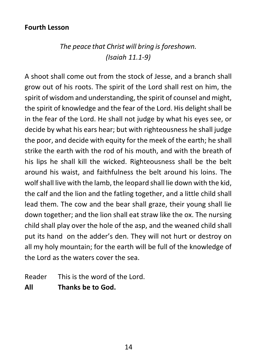# **Fourth Lesson**

# *The peace that Christ will bring is foreshown. (Isaiah 11.1-9)*

A shoot shall come out from the stock of Jesse, and a branch shall grow out of his roots. The spirit of the Lord shall rest on him, the spirit of wisdom and understanding, the spirit of counsel and might, the spirit of knowledge and the fear of the Lord. His delight shall be in the fear of the Lord. He shall not judge by what his eyes see, or decide by what his ears hear; but with righteousness he shall judge the poor, and decide with equity for the meek of the earth; he shall strike the earth with the rod of his mouth, and with the breath of his lips he shall kill the wicked. Righteousness shall be the belt around his waist, and faithfulness the belt around his loins. The wolf shall live with the lamb, the leopard shall lie down with the kid, the calf and the lion and the fatling together, and a little child shall lead them. The cow and the bear shall graze, their young shall lie down together; and the lion shall eat straw like the ox. The nursing child shall play over the hole of the asp, and the weaned child shall put its hand on the adder's den. They will not hurt or destroy on all my holy mountain; for the earth will be full of the knowledge of the Lord as the waters cover the sea.

Reader This is the word of the Lord.

**All Thanks be to God.**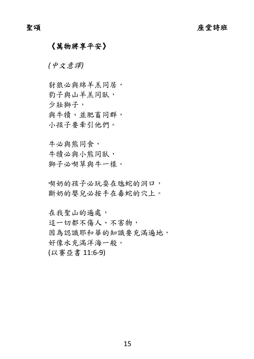## 《萬物將享平安》

*(*中文意譯*)*

豺狼必與綿羊羔同居, 豹子與山羊羔同臥, 少壯獅子, 與牛犢、並肥畜同群, 小孩子要牽引他們。

牛必與熊同食, 牛犢必與小熊同臥, 獅子必喫草與牛一樣。

喫奶的孩子必玩耍在虺蛇的洞口, 斷奶的嬰兒必按手在毒蛇的穴上。

在我聖山的遍處,

這一切都不傷人、不害物, 因為認識耶和華的知識要充滿遍地, 好像水充滿洋海一般。 (以賽亞書 11:6-9)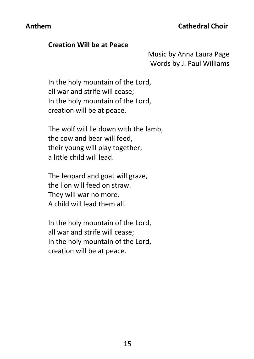## **Creation Will be at Peace**

Music by Anna Laura Page Words by J. Paul Williams

In the holy mountain of the Lord, all war and strife will cease; In the holy mountain of the Lord, creation will be at peace.

The wolf will lie down with the lamb, the cow and bear will feed, their young will play together; a little child will lead.

The leopard and goat will graze, the lion will feed on straw. They will war no more. A child will lead them all.

In the holy mountain of the Lord, all war and strife will cease; In the holy mountain of the Lord, creation will be at peace.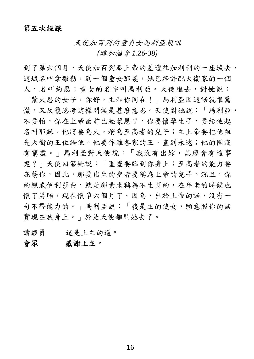## 第五次經課

天使加百列向童貞女馬利亞報訊

*(*路加福音 *1.26-38)*

到了第六個月,天使加百列奉上帝的差遣往加利利的一座城去, 這城名叫拿撒勒,到一個童女那裏,她已經許配大衛家的一個 人,名叫約瑟;童女的名字叫馬利亞。天使進去,對她說: 「蒙大恩的女子,你好,主和你同在!」馬利亞因這話就很驚 慌,又反覆思考這樣問候是甚麼意思。天使對她說:「馬利亞, 不要怕,你在上帝面前已經蒙恩了。你要懷孕生子,要給他起 名叫耶穌。他將要為大,稱為至高者的兒子;主上帝要把他祖 先大衛的王位給他。他要作雅各家的王,直到永遠;他的國沒 有窮盡。」馬利亞對天使說:「我沒有出嫁,怎麼會有這事 呢?」天使回答她說:「聖靈要臨到你身上;至高者的能力要 庇蔭你,因此,那要出生的聖者要稱為上帝的兒子。況且,你 的親戚伊利莎白,就是那素來稱為不生育的,在年老的時候也 懷了男胎,現在懷孕六個月了。因為,出於上帝的話,沒有一 句不帶能力的。」馬利亞說:「我是主的使女,願意照你的話 實現在我身上。」於是天使離開她去了。

讀經員 這是上主的道。

## 會眾 感謝上主。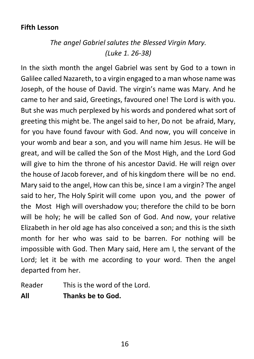# **Fifth Lesson**

# *The angel Gabriel salutes the Blessed Virgin Mary. (Luke 1. 26-38)*

In the sixth month the angel Gabriel was sent by God to a town in Galilee called Nazareth, to a virgin engaged to a man whose name was Joseph, of the house of David. The virgin's name was Mary. And he came to her and said, Greetings, favoured one! The Lord is with you. But she was much perplexed by his words and pondered what sort of greeting this might be. The angel said to her, Do not be afraid, Mary, for you have found favour with God. And now, you will conceive in your womb and bear a son, and you will name him Jesus. He will be great, and will be called the Son of the Most High, and the Lord God will give to him the throne of his ancestor David. He will reign over the house of Jacob forever, and of his kingdom there will be no end. Mary said to the angel, How can this be, since I am a virgin? The angel said to her, The Holy Spirit will come upon you, and the power of the Most High will overshadow you; therefore the child to be born will be holy; he will be called Son of God. And now, your relative Elizabeth in her old age has also conceived a son; and this is the sixth month for her who was said to be barren. For nothing will be impossible with God. Then Mary said, Here am I, the servant of the Lord; let it be with me according to your word. Then the angel departed from her.

Reader This is the word of the Lord.

**All Thanks be to God.**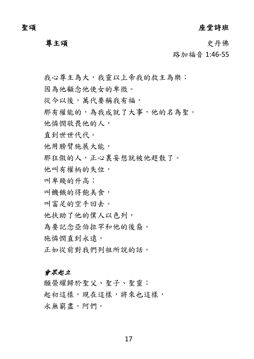聖頌 しょうしゃ しゅうしゃ しゅうしょう ゆうこう 座堂詩班

尊主頌史丹佛

路加福音 1:46-55

我心尊主為大,我靈以上帝我的救主為樂;

因為他顧念他使女的卑微。

從今以後,萬代要稱我有福,

那有權能的,為我成就了大事,他的名為聖。

他憐憫敬畏他的人,

直到世世代代。

他用膀臂施展大能,

那狂傲的人,正心裏妄想就被他趕散了。

他叫有權柄的失位,

叫卑賤的升高;

叫饑餓的得飽美食,

叫富足的空手回去。

他扶助了他的僕人以色列,

為要記念亞伯拉罕和他的後裔。

施憐憫 直到永遠,

正如從前對我們列祖所說的話。

## 會眾起立

願榮耀歸於聖父、聖子、聖靈; 起初這樣,現在這樣,將來也這樣, 永無窮盡。阿們。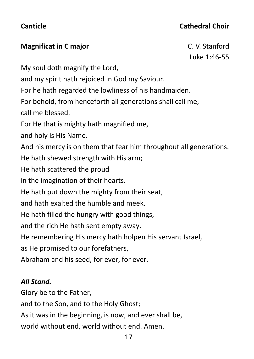# **Canticle Cathedral Choir**

# **Magnificat in C major** C. V. Stanford

Luke 1:46-55

My soul doth magnify the Lord,

and my spirit hath rejoiced in God my Saviour.

For he hath regarded the lowliness of his handmaiden.

For behold, from henceforth all generations shall call me,

call me blessed.

For He that is mighty hath magnified me,

and holy is His Name.

And his mercy is on them that fear him throughout all generations.

He hath shewed strength with His arm;

He hath scattered the proud

in the imagination of their hearts.

He hath put down the mighty from their seat,

and hath exalted the humble and meek.

He hath filled the hungry with good things,

and the rich He hath sent empty away.

He remembering His mercy hath holpen His servant Israel,

as He promised to our forefathers,

Abraham and his seed, for ever, for ever.

# *All Stand.*

Glory be to the Father, and to the Son, and to the Holy Ghost; As it was in the beginning, is now, and ever shall be, world without end, world without end. Amen.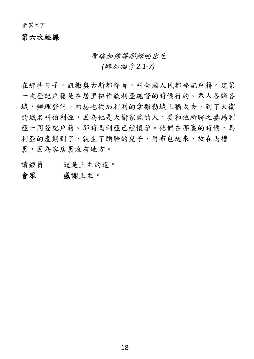會眾坐下

### 第六次經課

### 聖路加佈導耶穌的出生

*(*路加福音 *2.1-7)*

在那些日子,凱撒奧古斯都降旨,叫全國人民都登記戶籍。這第 一次登記戶籍是在居里扭作敘利亞總督的時候行的。眾人各歸各 城,辦理登記。約瑟也從加利利的拿撒勒城上猶太去,到了大衛 的城名叫伯利恆,因為他是大衛家族的人,要和他所聘之妻馬利 亞一同登記戶籍。那時馬利亞已經懷孕。他們在那裏的時候,馬 利亞的產期到了,就生了頭胎的兒子,用布包起來,放在馬槽 裏,因為客店裏沒有地方。

讀經員 這是上主的道。

## 會眾 感謝上主。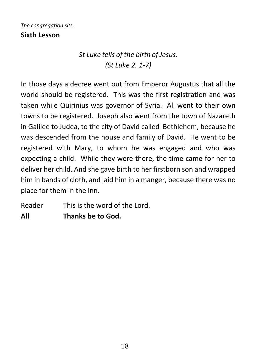## *The congregation sits.* **Sixth Lesson**

# *St Luke tells of the birth of Jesus. (St Luke 2. 1-7)*

In those days a decree went out from Emperor Augustus that all the world should be registered. This was the first registration and was taken while Quirinius was governor of Syria. All went to their own towns to be registered. Joseph also went from the town of Nazareth in Galilee to Judea, to the city of David called Bethlehem, because he was descended from the house and family of David. He went to be registered with Mary, to whom he was engaged and who was expecting a child. While they were there, the time came for her to deliver her child. And she gave birth to her firstborn son and wrapped him in bands of cloth, and laid him in a manger, because there was no place for them in the inn.

Reader This is the word of the Lord.

**All Thanks be to God.**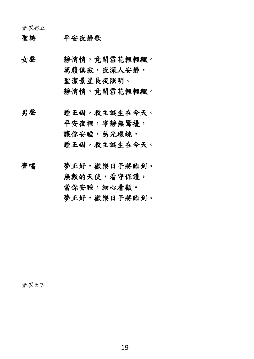會眾起立

- 聖詩 平安夜靜歌
- 女聲 靜悄悄,竟聞雪花輕輕飄。 萬籟俱寂,夜深人安靜, 聖潔景星長夜照明。 靜悄悄,竟聞雪花輕輕飄。
- 男聲 睡正甜,救主誕生在今天。 平安夜裡,寧靜無驚擾, 讓你安睡,慈光環繞, 睡正甜,救主誕生在今天。
- 齊唱 夢正好,歡樂日子將臨到。 無數的天使,看守保護, 當你安睡,細心看顧。 夢正好,歡樂日子將臨到。

會眾坐下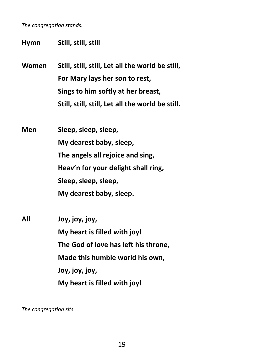*The congregation stands.*

**Hymn Still, still, still**

**Women Still, still, still, Let all the world be still, For Mary lays her son to rest, Sings to him softly at her breast, Still, still, still, Let all the world be still.**

**Men Sleep, sleep, sleep, My dearest baby, sleep, The angels all rejoice and sing, Heav'n for your delight shall ring, Sleep, sleep, sleep, My dearest baby, sleep.**

**All Joy, joy, joy, My heart is filled with joy! The God of love has left his throne, Made this humble world his own, Joy, joy, joy, My heart is filled with joy!**

*The congregation sits.*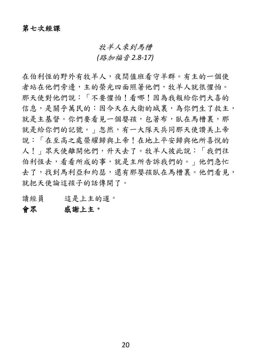## 牧羊人來到馬槽

*(*路加福音 *2.8-17)*

在伯利恆的野外有牧羊人,夜間值班看守羊群。有主的一個使 者站在他們旁邊,主的榮光四面照著他們,牧羊人就很懼怕。 那天使對他們說:「不要懼怕!看哪!因為我報給你們大喜的 信息,是關乎萬民的:因今天在大衛的城裏,為你們生了救主, 就是主基督。你們要看見一個嬰孩,包著布,臥在馬槽裏,那 就是給你們的記號。」忽然,有一大隊天兵同那天使讚美上帝 說:「在至高之處榮耀歸與上帝!在地上平安歸與他所喜悅的 人!」眾天使離開他們,升天去了。牧羊人彼此說:「我們往 伯利恆去,看看所成的事,就是主所告訴我們的。」他們急忙 去了,找到馬利亞和約瑟,還有那嬰孩臥在馬槽裏。他們看見, 就把天使論這孩子的話傳開了。

讀經員 這是上主的道。

## 會眾 感謝上主。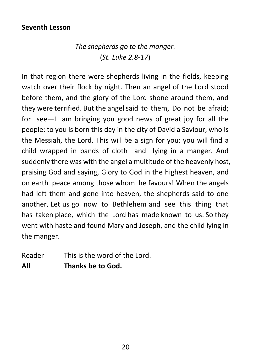## **Seventh Lesson**

# *The shepherds go to the manger.* (*St. Luke 2.8-17*)

In that region there were shepherds living in the fields, keeping watch over their flock by night. Then an angel of the Lord stood before them, and the glory of the Lord shone around them, and they were terrified. But the angelsaid to them, Do not be afraid; for see—I am bringing you good news of great joy for all the people: to you is born this day in the city of David a Saviour, who is the Messiah, the Lord. This will be a sign for you: you will find a child wrapped in bands of cloth and lying in a manger. And suddenly there was with the angel a multitude of the heavenly host, praising God and saying, Glory to God in the highest heaven, and on earth peace among those whom he favours! When the angels had left them and gone into heaven, the shepherds said to one another, Let us go now to Bethlehem and see this thing that has taken place, which the Lord has made known to us. So they went with haste and found Mary and Joseph, and the child lying in the manger.

Reader This is the word of the Lord. **All Thanks be to God.**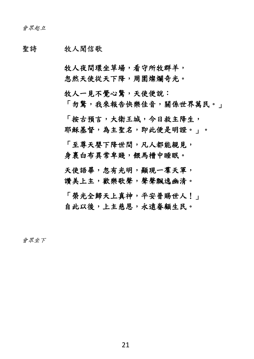### 聖詩 牧人聞信歌

牧人夜間環坐草場,看守所牧群羊, 忽然天使從天下降,周圍燦爛奇光。

牧人一見不覺心驚,天使便說:

「勿驚,我來報告快樂佳音,關係世界萬民。」

「按古預言,大衛王城,今日救主降生, 耶穌基督,為主聖名,即此便是明證。」。

「至尊天嬰下降世間,凡人都能親見, 身裹白布異常卑賤,餵馬槽中睡眠。

天使語畢,忽有光明,顯現一羣天軍, 讚美上主,歡樂歌聲,聲聲飄逸幽清。

「榮光全歸天上真神,平安普賜世人!」 自此以後,上主慈恩,永遠眷顧生民。

會眾坐下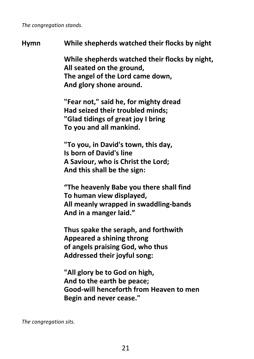*The congregation stands.*

# **Hymn While shepherds watched their flocks by night**

**While shepherds watched their flocks by night, All seated on the ground, The angel of the Lord came down, And glory shone around.** 

**"Fear not," said he, for mighty dread Had seized their troubled minds; "Glad tidings of great joy I bring To you and all mankind.** 

**"To you, in David's town, this day, Is born of David's line A Saviour, who is Christ the Lord; And this shall be the sign:**

**"The heavenly Babe you there shall find To human view displayed, All meanly wrapped in swaddling-bands And in a manger laid."**

**Thus spake the seraph, and forthwith Appeared a shining throng of angels praising God, who thus Addressed their joyful song:**

**"All glory be to God on high, And to the earth be peace; Good-will henceforth from Heaven to men Begin and never cease."** 

*The congregation sits.*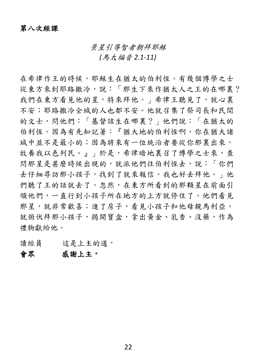## 第八次經課

景星引導智者朝拜耶穌

*(*馬太福音 *2.1-11)*

在希律作王的時候,耶穌生在猶太的伯利恆。有幾個博學之士 從東方來到耶路撒冷,說:「那生下來作猶太人之王的在哪裏? 我們在東方看見他的星,特來拜他。」希律王聽見了,就心裏 不安;耶路撒冷全城的人也都不安。他就召集了祭司長和民間 的文士,問他們:「基督該生在哪裏?」他們說:「在猶太的 伯利恆。因為有先知記著:『猶大地的伯利恆啊,你在猶大諸 城中並不是最小的;因為將來有一位統治者要從你那裏出來, 牧養我以色列民。』」於是,希律暗地裏召了博學之士來,查 問那星是甚麼時候出現的,就派他們往伯利恆去,說:「你們 去仔細尋訪那小孩子,找到了就來報信,我也好去拜他。」他 們聽了王的話就去了。忽然,在東方所看到的那顆星在前面引 領他們,一直行到小孩子所在地方的上方就停住了。他們看見 那星,就非常歡喜;進了房子,看見小孩子和他母親馬利亞, 就俯伏拜那小孩子,揭開寶盒,拿出黃金、乳香、沒藥,作為 禮物獻給他。

讀經員 這是上主的道。

## 會眾 感謝上主。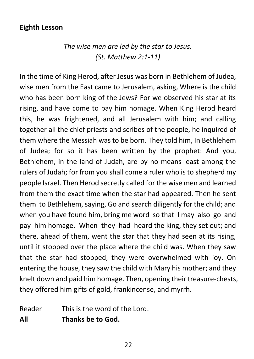# **Eighth Lesson**

*The wise men are led by the star to Jesus. (St. Matthew 2:1-11)*

In the time of King Herod, after Jesus was born in Bethlehem of Judea, wise men from the East came to Jerusalem, asking, Where is the child who has been born king of the Jews? For we observed his star at its rising, and have come to pay him homage. When King Herod heard this, he was frightened, and all Jerusalem with him; and calling together all the chief priests and scribes of the people, he inquired of them where the Messiah was to be born. They told him, In Bethlehem of Judea; for so it has been written by the prophet: And you, Bethlehem, in the land of Judah, are by no means least among the rulers of Judah; for from you shall come a ruler who is to shepherd my people Israel. Then Herod secretly called for the wise men and learned from them the exact time when the star had appeared. Then he sent them to Bethlehem, saying, Go and search diligently for the child; and when you have found him, bring me word so that I may also go and pay him homage. When they had heard the king, they set out; and there, ahead of them, went the star that they had seen at its rising, until it stopped over the place where the child was. When they saw that the star had stopped, they were overwhelmed with joy. On entering the house, they saw the child with Mary his mother; and they knelt down and paid him homage. Then, opening their treasure-chests, they offered him gifts of gold, frankincense, and myrrh.

Reader This is the word of the Lord. **All Thanks be to God.**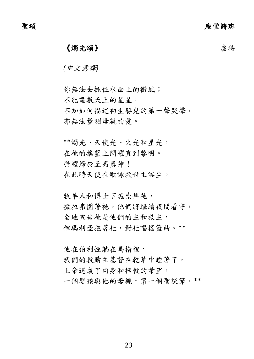# 《燭光頌》 そうしゃ こうしゃ こうしゃ 虚特

*(*中文意譯*)*

你無法去抓住水面上的微風; 不能盡數天上的星星; 不知如何描述初生嬰兒的第一聲哭聲, 亦無法量測母親的愛。

\*\*燭光、天使光、火光和星光, 在祂的搖籃上閃耀直到黎明。 榮耀歸於至高真神! 在此時天使在歌詠救世主誕生。

牧羊人和博士下跪崇拜祂, 撒拉弗圍著祂,他們將繼續夜間看守, 全地宣告祂是他們的主和救主, 但瑪利亞抱著祂,對祂唱搖籃曲。\*\*

他在伯利恆躺在馬槽裡, 我們的救贖主基督在乾草中睡著了, 上帝道成了肉身和拯救的希望, 一個嬰孩與他的母親,第一個聖誕節。\*\*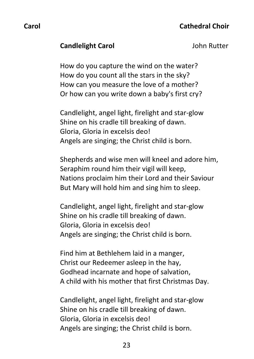## **Candlelight Carol** Candlelight Carol

How do you capture the wind on the water? How do you count all the stars in the sky? How can you measure the love of a mother? Or how can you write down a baby's first cry?

Candlelight, angel light, firelight and star-glow Shine on his cradle till breaking of dawn. Gloria, Gloria in excelsis deo! Angels are singing; the Christ child is born.

Shepherds and wise men will kneel and adore him, Seraphim round him their vigil will keep, Nations proclaim him their Lord and their Saviour But Mary will hold him and sing him to sleep.

Candlelight, angel light, firelight and star-glow Shine on his cradle till breaking of dawn. Gloria, Gloria in excelsis deo! Angels are singing; the Christ child is born.

Find him at Bethlehem laid in a manger, Christ our Redeemer asleep in the hay, Godhead incarnate and hope of salvation, A child with his mother that first Christmas Day.

Candlelight, angel light, firelight and star-glow Shine on his cradle till breaking of dawn. Gloria, Gloria in excelsis deo! Angels are singing; the Christ child is born.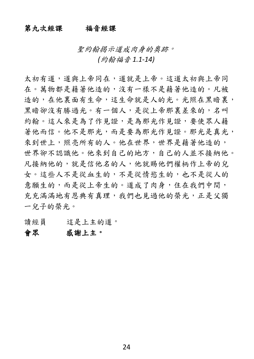## 第九次經課 福音經課

聖約翰揭示道成肉身的奧跡。

*(*約翰福音 *1.1-14)*

太初有道,道與上帝同在,道就是上帝。這道太初與上帝同 在。萬物都是藉著他造的,沒有一樣不是藉著他造的。凡被 造的,在他裏面有生命,這生命就是人的光。光照在黑暗裏, 黑暗卻沒有勝過光。有一個人,是從上帝那裏差來的,名叫 約翰。這人來是為了作見證,是為那光作見證,要使眾人藉 著他而信。他不是那光,而是要為那光作見證。那光是真光, 來到世上,照亮所有的人。他在世界,世界是藉著他造的, 世界卻不認識他。他來到自己的地方,自己的人並不接納他。 凡接納他的,就是信他名的人,他就賜他們權柄作上帝的兒 女。這些人不是從血生的,不是從情慾生的,也不是從人的 意願生的,而是從上帝生的。道成了肉身,住在我們中間, 充充滿滿地有恩典有真理,我們也見過他的榮光,正是父獨 一兒子的榮光。

讀經員 這是上主的道。

## 會眾 感謝上主。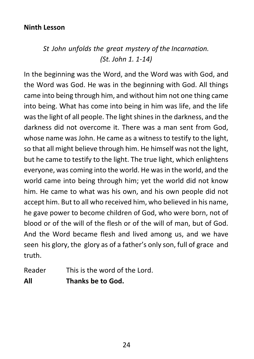# **Ninth Lesson**

# *St John unfolds the great mystery of the Incarnation. (St. John 1. 1-14)*

In the beginning was the Word, and the Word was with God, and the Word was God. He was in the beginning with God. All things came into being through him, and without him not one thing came into being. What has come into being in him was life, and the life was the light of all people. The light shines in the darkness, and the darkness did not overcome it. There was a man sent from God, whose name was John. He came as a witness to testify to the light, so that all might believe through him. He himself was not the light, but he came to testify to the light. The true light, which enlightens everyone, was coming into the world. He was in the world, and the world came into being through him; yet the world did not know him. He came to what was his own, and his own people did not accept him. But to all who received him, who believed in his name, he gave power to become children of God, who were born, not of blood or of the will of the flesh or of the will of man, but of God. And the Word became flesh and lived among us, and we have seen his glory, the glory as of a father's only son, full of grace and truth.

Reader This is the word of the Lord. **All Thanks be to God.**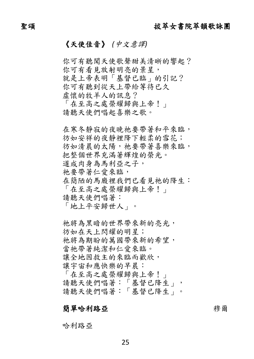## 《天使佳音》*(*中文意譯*)*

你可有聽聞天使歌聲甜美清晰的響起? 你可有看見放射明亮的景星, 就是上帝表明「基督已臨」的引記? 你可有聽到從天上帶給等待已久 虛懷的牧羊人的訊息? 「在至高之處榮耀歸與上帝!」 請聽天使們唱起喜樂之歌。 在寒冬靜寂的夜晚祂要帶著和平來臨, 彷如安祥的夜靜裡降下輕柔的雪花; 彷如清晨的太陽,祂要帶著喜樂來臨, 把整個世界充滿著輝煌的榮光。 道成肉身為馬利亞之子, 祂要帶著仁愛來臨, 在簡陋的馬廄裡我們已看見祂的降生: 「在至高之處榮耀歸與上帝!」 請聽天使們唱著: 「地上平安歸世人」。 祂將為黑暗的世界帶來新的亮光, 彷如在天上閃耀的明星;

祂將為期盼的萬國帶來新的希望,

當祂帶著純潔和仁愛來臨。

讓全地因救主的來臨而歡欣,

讓宇宙和應快樂的早晨:

「在至高之處榮耀歸與上帝!」 請聽天使們唱著:「基督已降生」, 請聽天使們唱著:「基督已降生」。

## 簡單哈利路亞 穆爾

哈利路亞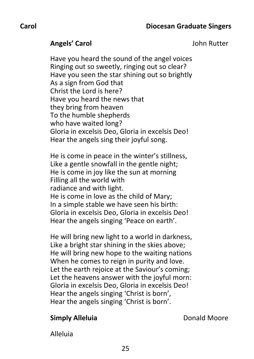**Angels' Carol Angels' Carol John Rutter** 

Have you heard the sound of the angel voices Ringing out so sweetly, ringing out so clear? Have you seen the star shining out so brightly As a sign from God that Christ the Lord is here? Have you heard the news that they bring from heaven To the humble shepherds who have waited long? Gloria in excelsis Deo, Gloria in excelsis Deo! Hear the angels sing their joyful song.

He is come in peace in the winter's stillness, Like a gentle snowfall in the gentle night; He is come in joy like the sun at morning Filling all the world with radiance and with light. He is come in love as the child of Mary; In a simple stable we have seen his birth: Gloria in excelsis Deo, Gloria in excelsis Deo! Hear the angels singing 'Peace on earth'.

He will bring new light to a world in darkness, Like a bright star shining in the skies above; He will bring new hope to the waiting nations When he comes to reign in purity and love. Let the earth rejoice at the Saviour's coming; Let the heavens answer with the joyful morn: Gloria in excelsis Deo, Gloria in excelsis Deo! Hear the angels singing 'Christ is born', Hear the angels singing 'Christ is born'.

## **Simply Alleluia Donald Moore**

Alleluia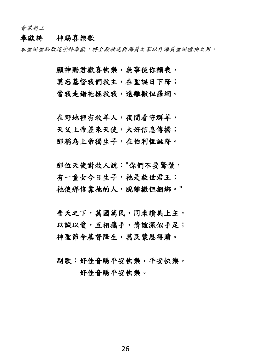會眾起立

### 奉獻詩 神賜喜樂歌

本聖誕聖跡歌述崇拜奉獻,將全數敬送與海員之家以作海員聖誕禮物之用。

願神賜君歡喜快樂,無事使你頹喪, 莫忘基督我們救主,在聖誕日下降; 當我走錯祂拯救我,遠離撒但羅網。

在野地裡有牧羊人,夜間看守群羊, 天父上帝差來天使,大好信息傳揚; 那稱為上帝獨生子,在伯利恆誕降。

那位天使對牧人說:**"**你們不要驚慌, 有一童女今日生子,祂是救世君王; 祂使那信靠祂的人,脫離撒但捆綁。**"**

普天之下,萬國萬民,同來讚美上主, 以誠以愛,互相攜手,情誼深似手足; 神聖節令基督降生,萬民蒙恩得贖。

副歌:好佳音賜平安快樂,平安快樂, 好佳音賜平安快樂。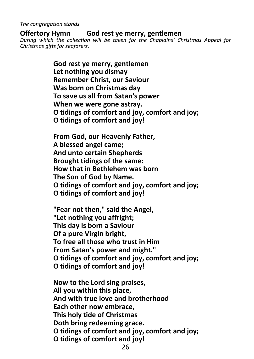*The congregation stands.*

## **Offertory Hymn God rest ye merry, gentlemen**

*During which the collection will be taken for the Chaplains' Christmas Appeal for Christmas gifts for seafarers.* 

> **God rest ye merry, gentlemen Let nothing you dismay Remember Christ, our Saviour Was born on Christmas day To save us all from Satan's power When we were gone astray. O tidings of comfort and joy, comfort and joy; O tidings of comfort and joy!**

> **From God, our Heavenly Father, A blessed angel came; And unto certain Shepherds Brought tidings of the same: How that in Bethlehem was born The Son of God by Name. O tidings of comfort and joy, comfort and joy; O tidings of comfort and joy!**

> **"Fear not then," said the Angel, "Let nothing you affright; This day is born a Saviour Of a pure Virgin bright, To free all those who trust in Him From Satan's power and might." O tidings of comfort and joy, comfort and joy; O tidings of comfort and joy!**

> **Now to the Lord sing praises, All you within this place, And with true love and brotherhood Each other now embrace, This holy tide of Christmas Doth bring redeeming grace. O tidings of comfort and joy, comfort and joy; O tidings of comfort and joy!**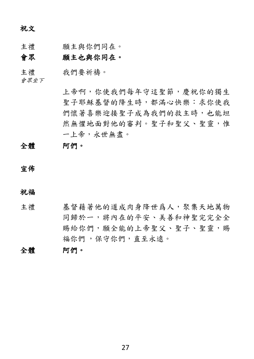祝文

主禮 願主與你們同在。

## 會眾 願主也與你同在。

主禮 我們要祈禱。

會眾坐下

上帝啊,你使我們每年守這聖節,慶祝你的獨生 聖子耶穌基督的降生時,都滿心快樂:求你使我 們懷著喜樂迎接聖子成為我們的救主時,也能坦 然無懼地面對他的審判。聖子和聖父、聖靈,惟 一上帝,永世無盡。

## 全體 阿們。

宣佈

祝福

- 主禮 基督藉著他的道成肉身降世爲人,聚集天地萬物 同歸於一,將內在的平安、美善和神聖完完全全 賜給你們,願全能的上帝聖父、聖子、聖靈,賜 福你們 ,保守你們,直至永遠。
- 全體 阿們。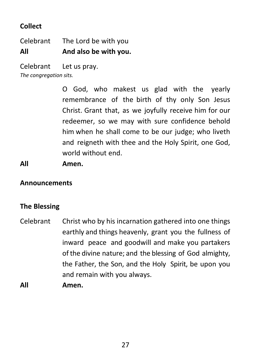# **Collect**

Celebrant The Lord be with you **All And also be with you.**

Celebrant Let us pray. *The congregation sits.*

> O God, who makest us glad with the yearly remembrance of the birth of thy only Son Jesus Christ. Grant that, as we joyfully receive him for our redeemer, so we may with sure confidence behold him when he shall come to be our judge; who liveth and reigneth with thee and the Holy Spirit, one God, world without end.

# **All Amen.**

# **Announcements**

# **The Blessing**

- Celebrant Christ who by his incarnation gathered into one things earthly and things heavenly, grant you the fullness of inward peace and goodwill and make you partakers of the divine nature; and the blessing of God almighty, the Father, the Son, and the Holy Spirit, be upon you and remain with you always.
- **All Amen.**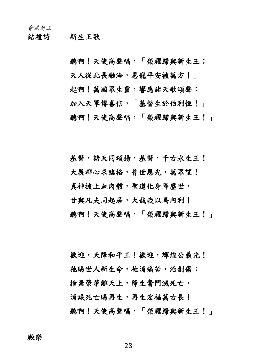結禮詩 新生王歌

聽啊!天使高聲唱,「榮耀歸與新生王; 天人從此長融洽,恩寵平安被萬方!」 起啊!萬國眾生靈,響應諸天歌頌聲; 加入天軍傳喜信,「基督生於伯利恆!」 聽啊!天使高聲唱,「榮耀歸與新生王!」

基督,諸天同頌揚,基督,千古永生王! 大展群心求臨格,普世恩光,萬眾望! 真神披上血肉體,聖道化身降塵世, 甘與凡夫同起居,大哉我以馬內利! 聽啊!天使高聲唱,「榮耀歸與新生王!」

歡迎,天降和平王!歡迎,輝煌公義光! 祂賜世人新生命,祂消痛苦,治創傷; 捨棄榮華離天上,降生奮鬥滅死亡, 消滅死亡賜再生,再生宏福萬古長! 聽啊!天使高聲唱,「榮耀歸與新生王!」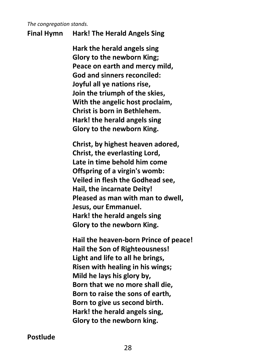*The congregation stands.*

## **Final Hymn Hark! The Herald Angels Sing**

**Hark the herald angels sing Glory to the newborn King; Peace on earth and mercy mild, God and sinners reconciled: Joyful all ye nations rise, Join the triumph of the skies, With the angelic host proclaim, Christ is born in Bethlehem. Hark! the herald angels sing Glory to the newborn King.**

**Christ, by highest heaven adored, Christ, the everlasting Lord, Late in time behold him come Offspring of a virgin's womb: Veiled in flesh the Godhead see, Hail, the incarnate Deity! Pleased as man with man to dwell, Jesus, our Emmanuel. Hark! the herald angels sing Glory to the newborn King.**

**Hail the heaven-born Prince of peace! Hail the Son of Righteousness! Light and life to all he brings, Risen with healing in his wings; Mild he lays his glory by, Born that we no more shall die, Born to raise the sons of earth, Born to give us second birth. Hark! the herald angels sing, Glory to the newborn king.**

**Postlude**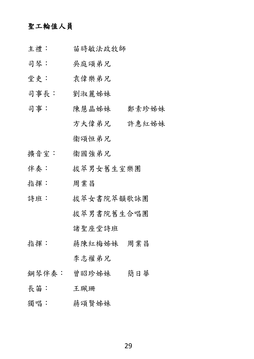### 聖工輪值人員

- 主禮︰ 苗時敏法政牧師
- 司琴: 吳庭頌弟兄
- 堂吏: 袁偉樂弟兄
- 司事長: 劉淑麗姊妹
- 司事: 陳慧晶姊妹 鄭素珍姊妹 方大偉弟兄 許惠紅姊妹 衞頌恒弟兄
- 擴音室: 衞國強弟兄
- 伴奏︰ 拔萃男女舊生室樂團
- 指揮: 周業昌
- 詩班: 拔萃女書院萃韻歌詠團 拔萃男書院舊生合唱團 諸聖座堂詩班
- 指揮: 蔣陳紅梅姊妹 周業昌 李志權弟兄
- 鋼琴伴奏︰ 曾昭珍姊妹 簡日華
- 長笛︰ 王珮珊
- 獨唱: 蔣頌賢姊妹

29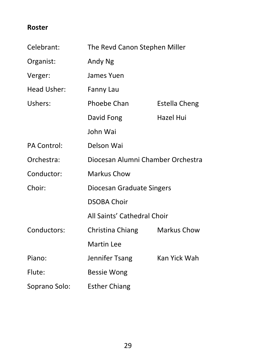# **Roster**

| Celebrant:         | The Revd Canon Stephen Miller     |                    |  |
|--------------------|-----------------------------------|--------------------|--|
| Organist:          | <b>Andy Ng</b>                    |                    |  |
| Verger:            | <b>James Yuen</b>                 |                    |  |
| <b>Head Usher:</b> | <b>Fanny Lau</b>                  |                    |  |
| Ushers:            | <b>Phoebe Chan</b>                | Estella Cheng      |  |
|                    | David Fong                        | Hazel Hui          |  |
|                    | John Wai                          |                    |  |
| <b>PA Control:</b> | Delson Wai                        |                    |  |
| Orchestra:         | Diocesan Alumni Chamber Orchestra |                    |  |
| Conductor:         | <b>Markus Chow</b>                |                    |  |
| Choir:             | Diocesan Graduate Singers         |                    |  |
|                    | <b>DSOBA Choir</b>                |                    |  |
|                    | All Saints' Cathedral Choir       |                    |  |
| Conductors:        | Christina Chiang                  | <b>Markus Chow</b> |  |
|                    | <b>Martin Lee</b>                 |                    |  |
| Piano:             | Jennifer Tsang                    | Kan Yick Wah       |  |
| Flute:             | Bessie Wong                       |                    |  |
| Soprano Solo:      | <b>Esther Chiang</b>              |                    |  |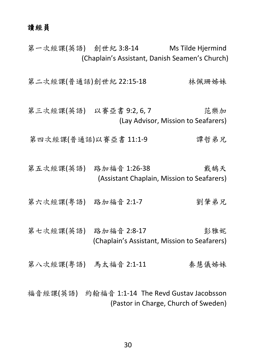## 讀經員

第一次經課(英語) 創世紀 3:8-14 Ms Tilde Hjermind (Chaplain's Assistant, Danish Seamen's Church)

第二次經課(普通話)創世紀 22:15-18 林佩珊姊妹

第三次經課(英語) 以賽亞書 9:2, 6, 7 范樂加 (Lay Advisor, Mission to Seafarers)

第四次經課(普通話)以賽亞書 11:1-9 實哲弟兄

第五次經課(英語) 路加福音 1:26-38 本来 戴鵠天 (Assistant Chaplain, Mission to Seafarers)

第六次經課(粤語) 路加福音 2:1-7 到肇弟兄

第七次經課(英語) 路加福音 2:8-17 彭雅妮 (Chaplain's Assistant, Mission to Seafarers)

第八次經課(粵語) 馬太福音 2:1-11 秦慧儀姊妹

福音經課(英語) 約翰福音 1:1-14 The Revd Gustav Jacobsson (Pastor in Charge, Church of Sweden)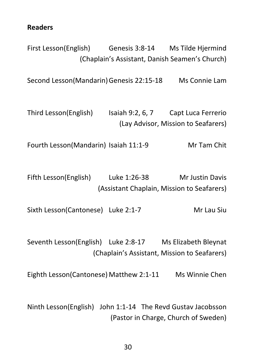**Readers**

First Lesson(English) Genesis 3:8-14 Ms Tilde Hjermind (Chaplain's Assistant, Danish Seamen's Church) Second Lesson(Mandarin) Genesis 22:15-18 Ms Connie Lam Third Lesson(English) Isaiah 9:2, 6, 7 Capt Luca Ferrerio (Lay Advisor, Mission to Seafarers) Fourth Lesson(Mandarin) Isaiah 11:1-9 Mr Tam Chit Fifth Lesson(English) Luke 1:26-38 Mr Justin Davis (Assistant Chaplain, Mission to Seafarers) Sixth Lesson(Cantonese) Luke 2:1-7 Mr Lau Siu Seventh Lesson(English) Luke 2:8-17 Ms Elizabeth Bleynat (Chaplain's Assistant, Mission to Seafarers) Eighth Lesson(Cantonese) Matthew 2:1-11 Ms Winnie Chen Ninth Lesson(English) John 1:1-14 The Revd Gustav Jacobsson (Pastor in Charge, Church of Sweden)